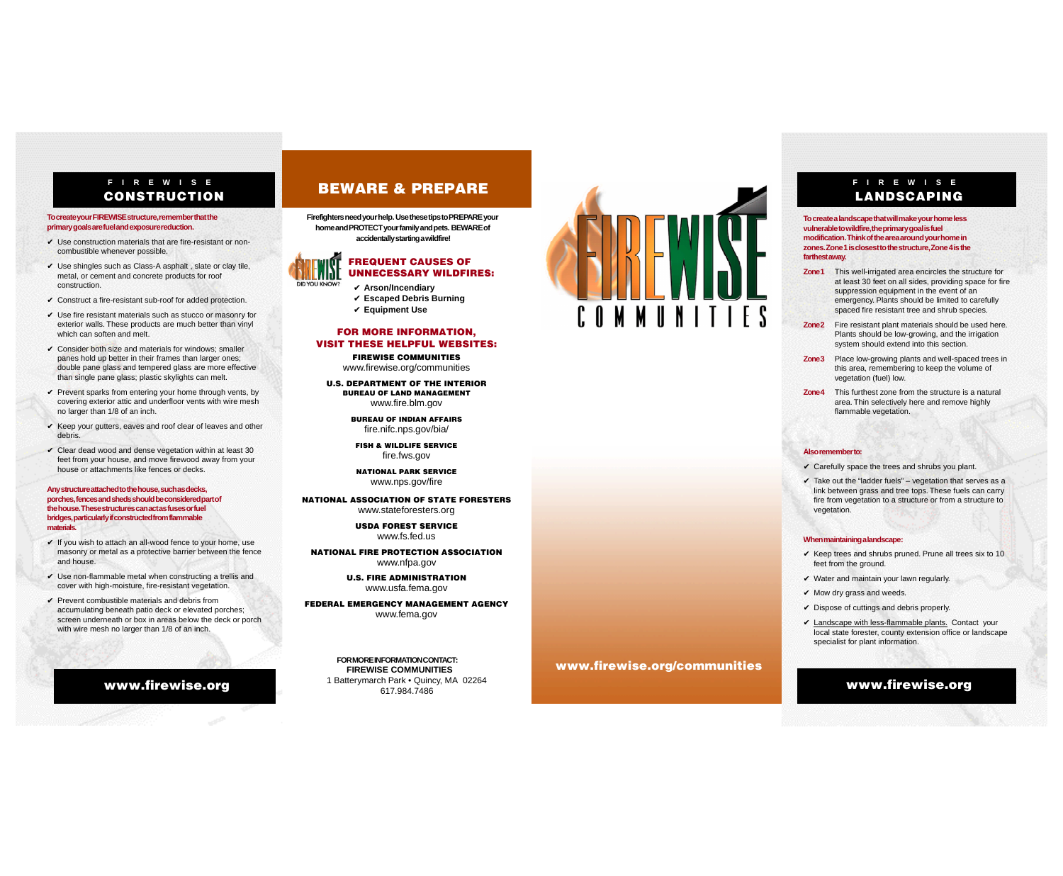**Firefightersneedyourhelp.UsethesetipstoPREPAREyour homeandPROTECTyourfamilyandpets. BEWAREof accidentallystartingawildfire!**



#### FREQUENT CAUSES OF UNNECESSARY WILDFIRES:

- ✔ **Arson/Incendiary**
	- ✔ **Escaped Debris Burning**
	- ✔ **Equipment Use**

#### FOR MORE INFORMATION, VISIT THESE HELPFUL WEBSITES:

FIREWISE COMMUNITIES www.firewise.org/communities

U.S. DEPARTMENT OF THE INTERIOR BUREAU OF LAND MANAGEMENT www.fire.blm.gov

**FOR MORE INFORMATION CONTACT: FIREWISE COMMUNITIES** 1 Batterymarch Park • Quincy, MA 02264 617.984.7486 www.firewise.org **EXAMPLE 1998 MEXAMPLE 2006 MAXPLE 2264** Www.firewise.org



BUREAU OF INDIAN AFFAIRS fire.nifc.nps.gov/bia/

FISH & WILDLIFE SERVICE fire.fws.gov

NATIONAL PARK SERVICE www.nps.gov/fire

NATIONAL ASSOCIATION OF STATE FORESTERS www.stateforesters.org

> USDA FOREST SERVICE www.fs.fed.us

NATIONAL FIRE PROTECTION ASSOCIATION www.nfpa.gov

> U.S. FIRE ADMINISTRATION www.usfa.fema.gov

FEDERAL EMERGENCY MANAGEMENT AGENCY www.fema.gov

#### **F I R E W I S E** LANDSCAPING

**To create your FIREWISE structure, remember that the primary goals are fuel and exposure reduction.**

- $\checkmark$  Use construction materials that are fire-resistant or noncombustible whenever possible.
- $\vee$  Use shingles such as Class-A asphalt, slate or clay tile, metal, or cement and concrete products for roof construction.
- $\checkmark$  Construct a fire-resistant sub-roof for added protection.
- $\vee$  Use fire resistant materials such as stucco or masonry for exterior walls. These products are much better than vinyl which can soften and melt.
- $\checkmark$  Consider both size and materials for windows: smaller panes hold up better in their frames than larger ones; double pane glass and tempered glass are more effective than single pane glass; plastic skylights can melt.
- $\checkmark$  Prevent sparks from entering your home through vents, by covering exterior attic and underfloor vents with wire mesh no larger than 1/8 of an inch.
- $\checkmark$  Keep your gutters, eaves and roof clear of leaves and other debris.
- $\checkmark$  Clear dead wood and dense vegetation within at least 30 feet from your house, and move firewood away from your house or attachments like fences or decks.

- $\checkmark$  If you wish to attach an all-wood fence to your home, use masonry or metal as a protective barrier between the fence and house.
- $\vee$  Use non-flammable metal when constructing a trellis and cover with high-moisture, fire-resistant vegetation.
- $\checkmark$  Prevent combustible materials and debris from accumulating beneath patio deck or elevated porches; screen underneath or box in areas below the deck or porch with wire mesh no larger than 1/8 of an inch.
- **Zone 1** This well-irrigated area encircles the structure for at least 30 feet on all sides, providing space for fire suppression equipment in the event of an emergency. Plants should be limited to carefully spaced fire resistant tree and shrub species.
- **Zone2** Fire resistant plant materials should be used here. Plants should be low-growing, and the irrigation system should extend into this section.
- **Zone 3** Place low-growing plants and well-spaced trees in this area, remembering to keep the volume of vegetation (fuel) low.
- **Zone4** This furthest zone from the structure is a natural area. Thin selectively here and remove highly flammable vegetation.

 $\checkmark$  Take out the "ladder fuels" – vegetation that serves as a link between grass and tree tops. These fuels can carry fire from vegetation to a structure or from a structure to vegetation.

 $\checkmark$  Keep trees and shrubs pruned. Prune all trees six to 10 feet from the ground.

- $\vee$  Water and maintain your lawn regularly.
- $\checkmark$  Mow dry grass and weeds.
- $\checkmark$  Dispose of cuttings and debris properly.

 $\vee$  Landscape with less-flammable plants. Contact your local state forester, county extension office or landscape specialist for plant information.

**Any structure attached to the house, such as decks, porches, fences and sheds should be considered part of the house. These structures can act as fuses or fuel bridges, particularly if constructed from flammable materials.**

**To create a landscape that will make your home less vulnerable to wildfire, the primary goal is fuel modification. Think of the area around your home in zones. Zone 1 is closest to the structure, Zone 4 is the farthest away.**

#### **Also remember to:**

 $\checkmark$  Carefully space the trees and shrubs you plant.

#### **When maintaining a landscape:**

# BEWARE & PREPARE **F I R E W I S E**

# CONSTRUCTION

www.firewise.org/communities